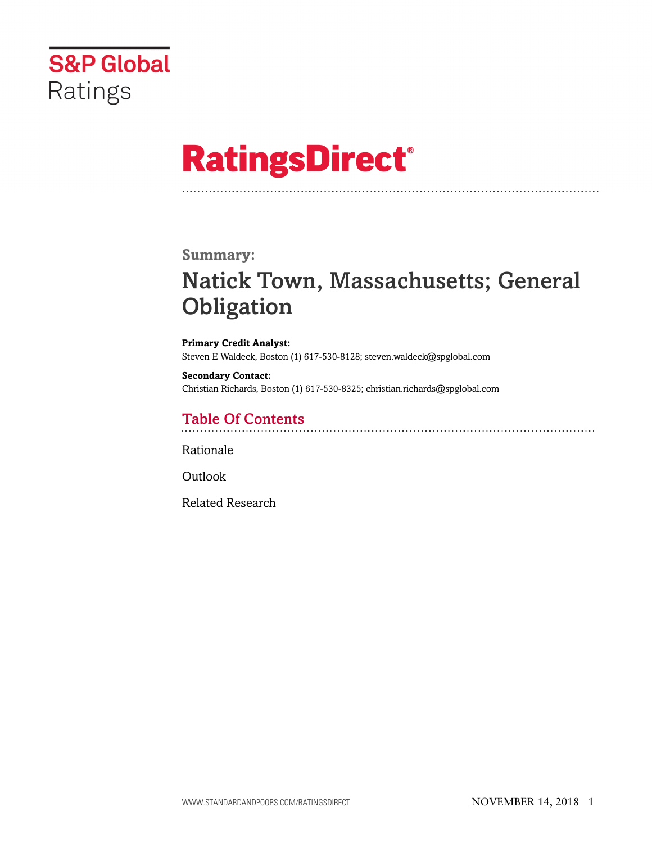

# **RatingsDirect®**

### **Summary:**

# Natick Town, Massachusetts; General **Obligation**

**Primary Credit Analyst:** Steven E Waldeck, Boston (1) 617-530-8128; steven.waldeck@spglobal.com

**Secondary Contact:** Christian Richards, Boston (1) 617-530-8325; christian.richards@spglobal.com

# Table Of Contents

Rationale

Outlook

Related Research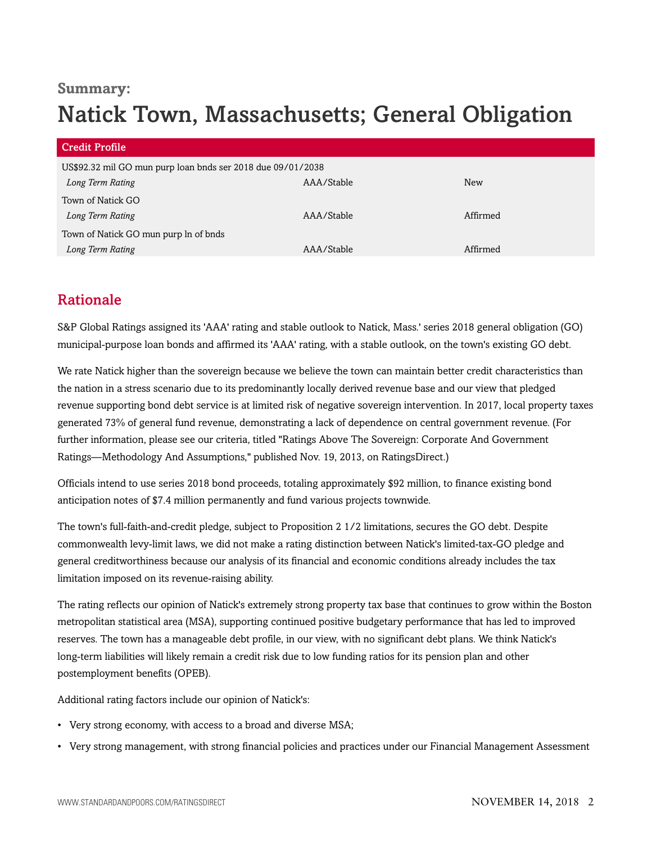# **Summary:** Natick Town, Massachusetts; General Obligation

| <b>Credit Profile</b>                                       |            |          |
|-------------------------------------------------------------|------------|----------|
| US\$92.32 mil GO mun purp loan bnds ser 2018 due 09/01/2038 |            |          |
| Long Term Rating                                            | AAA/Stable | New      |
| Town of Natick GO                                           |            |          |
| Long Term Rating                                            | AAA/Stable | Affirmed |
| Town of Natick GO mun purp In of bnds                       |            |          |
| Long Term Rating                                            | AAA/Stable | Affirmed |

## Rationale

S&P Global Ratings assigned its 'AAA' rating and stable outlook to Natick, Mass.' series 2018 general obligation (GO) municipal-purpose loan bonds and affirmed its 'AAA' rating, with a stable outlook, on the town's existing GO debt.

We rate Natick higher than the sovereign because we believe the town can maintain better credit characteristics than the nation in a stress scenario due to its predominantly locally derived revenue base and our view that pledged revenue supporting bond debt service is at limited risk of negative sovereign intervention. In 2017, local property taxes generated 73% of general fund revenue, demonstrating a lack of dependence on central government revenue. (For further information, please see our criteria, titled "Ratings Above The Sovereign: Corporate And Government Ratings—Methodology And Assumptions," published Nov. 19, 2013, on RatingsDirect.)

Officials intend to use series 2018 bond proceeds, totaling approximately \$92 million, to finance existing bond anticipation notes of \$7.4 million permanently and fund various projects townwide.

The town's full-faith-and-credit pledge, subject to Proposition 2 1/2 limitations, secures the GO debt. Despite commonwealth levy-limit laws, we did not make a rating distinction between Natick's limited-tax-GO pledge and general creditworthiness because our analysis of its financial and economic conditions already includes the tax limitation imposed on its revenue-raising ability.

The rating reflects our opinion of Natick's extremely strong property tax base that continues to grow within the Boston metropolitan statistical area (MSA), supporting continued positive budgetary performance that has led to improved reserves. The town has a manageable debt profile, in our view, with no significant debt plans. We think Natick's long-term liabilities will likely remain a credit risk due to low funding ratios for its pension plan and other postemployment benefits (OPEB).

Additional rating factors include our opinion of Natick's:

- Very strong economy, with access to a broad and diverse MSA;
- Very strong management, with strong financial policies and practices under our Financial Management Assessment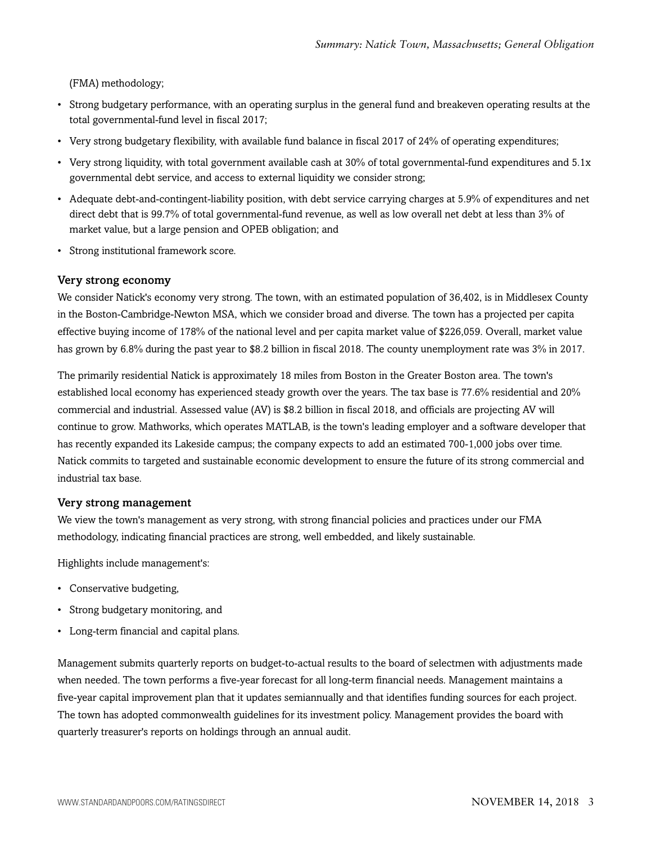(FMA) methodology;

- Strong budgetary performance, with an operating surplus in the general fund and breakeven operating results at the total governmental-fund level in fiscal 2017;
- Very strong budgetary flexibility, with available fund balance in fiscal 2017 of 24% of operating expenditures;
- Very strong liquidity, with total government available cash at 30% of total governmental-fund expenditures and 5.1x governmental debt service, and access to external liquidity we consider strong;
- Adequate debt-and-contingent-liability position, with debt service carrying charges at 5.9% of expenditures and net direct debt that is 99.7% of total governmental-fund revenue, as well as low overall net debt at less than 3% of market value, but a large pension and OPEB obligation; and
- Strong institutional framework score.

#### Very strong economy

We consider Natick's economy very strong. The town, with an estimated population of 36,402, is in Middlesex County in the Boston-Cambridge-Newton MSA, which we consider broad and diverse. The town has a projected per capita effective buying income of 178% of the national level and per capita market value of \$226,059. Overall, market value has grown by 6.8% during the past year to \$8.2 billion in fiscal 2018. The county unemployment rate was  $3\%$  in 2017.

The primarily residential Natick is approximately 18 miles from Boston in the Greater Boston area. The town's established local economy has experienced steady growth over the years. The tax base is 77.6% residential and 20% commercial and industrial. Assessed value (AV) is \$8.2 billion in fiscal 2018, and officials are projecting AV will continue to grow. Mathworks, which operates MATLAB, is the town's leading employer and a software developer that has recently expanded its Lakeside campus; the company expects to add an estimated 700-1,000 jobs over time. Natick commits to targeted and sustainable economic development to ensure the future of its strong commercial and industrial tax base.

#### Very strong management

We view the town's management as very strong, with strong financial policies and practices under our FMA methodology, indicating financial practices are strong, well embedded, and likely sustainable.

Highlights include management's:

- Conservative budgeting,
- Strong budgetary monitoring, and
- Long-term financial and capital plans.

Management submits quarterly reports on budget-to-actual results to the board of selectmen with adjustments made when needed. The town performs a five-year forecast for all long-term financial needs. Management maintains a five-year capital improvement plan that it updates semiannually and that identifies funding sources for each project. The town has adopted commonwealth guidelines for its investment policy. Management provides the board with quarterly treasurer's reports on holdings through an annual audit.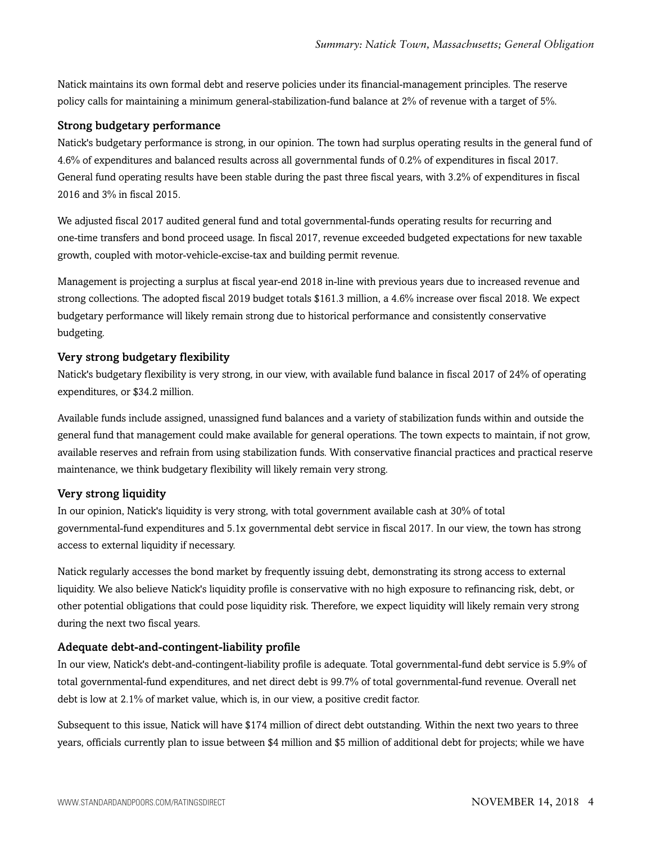Natick maintains its own formal debt and reserve policies under its financial-management principles. The reserve policy calls for maintaining a minimum general-stabilization-fund balance at 2% of revenue with a target of 5%.

#### Strong budgetary performance

Natick's budgetary performance is strong, in our opinion. The town had surplus operating results in the general fund of 4.6% of expenditures and balanced results across all governmental funds of 0.2% of expenditures in fiscal 2017. General fund operating results have been stable during the past three fiscal years, with 3.2% of expenditures in fiscal 2016 and 3% in fiscal 2015.

We adjusted fiscal 2017 audited general fund and total governmental-funds operating results for recurring and one-time transfers and bond proceed usage. In fiscal 2017, revenue exceeded budgeted expectations for new taxable growth, coupled with motor-vehicle-excise-tax and building permit revenue.

Management is projecting a surplus at fiscal year-end 2018 in-line with previous years due to increased revenue and strong collections. The adopted fiscal 2019 budget totals \$161.3 million, a 4.6% increase over fiscal 2018. We expect budgetary performance will likely remain strong due to historical performance and consistently conservative budgeting.

#### Very strong budgetary flexibility

Natick's budgetary flexibility is very strong, in our view, with available fund balance in fiscal 2017 of 24% of operating expenditures, or \$34.2 million.

Available funds include assigned, unassigned fund balances and a variety of stabilization funds within and outside the general fund that management could make available for general operations. The town expects to maintain, if not grow, available reserves and refrain from using stabilization funds. With conservative financial practices and practical reserve maintenance, we think budgetary flexibility will likely remain very strong.

#### Very strong liquidity

In our opinion, Natick's liquidity is very strong, with total government available cash at 30% of total governmental-fund expenditures and 5.1x governmental debt service in fiscal 2017. In our view, the town has strong access to external liquidity if necessary.

Natick regularly accesses the bond market by frequently issuing debt, demonstrating its strong access to external liquidity. We also believe Natick's liquidity profile is conservative with no high exposure to refinancing risk, debt, or other potential obligations that could pose liquidity risk. Therefore, we expect liquidity will likely remain very strong during the next two fiscal years.

#### Adequate debt-and-contingent-liability profile

In our view, Natick's debt-and-contingent-liability profile is adequate. Total governmental-fund debt service is 5.9% of total governmental-fund expenditures, and net direct debt is 99.7% of total governmental-fund revenue. Overall net debt is low at 2.1% of market value, which is, in our view, a positive credit factor.

Subsequent to this issue, Natick will have \$174 million of direct debt outstanding. Within the next two years to three years, officials currently plan to issue between \$4 million and \$5 million of additional debt for projects; while we have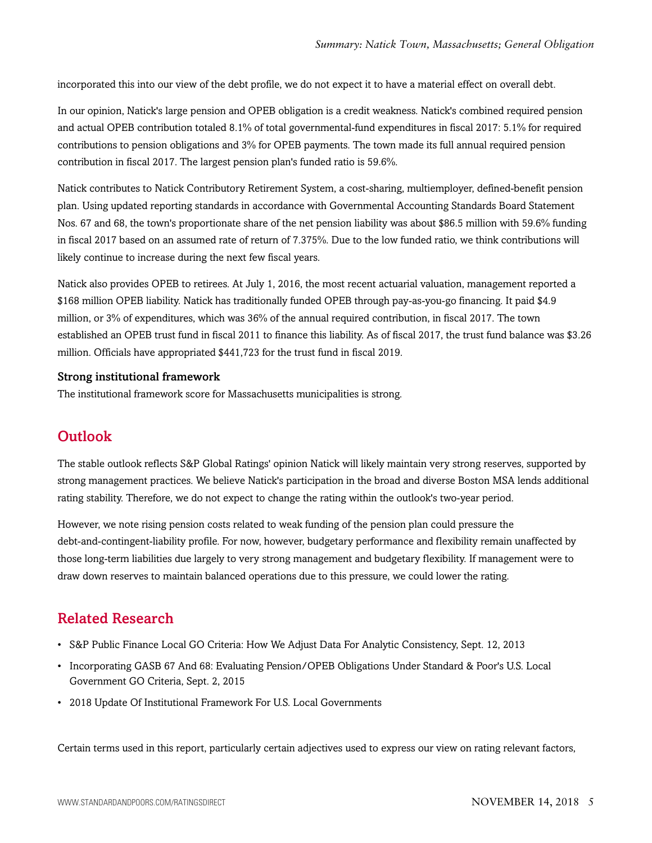incorporated this into our view of the debt profile, we do not expect it to have a material effect on overall debt.

In our opinion, Natick's large pension and OPEB obligation is a credit weakness. Natick's combined required pension and actual OPEB contribution totaled 8.1% of total governmental-fund expenditures in fiscal 2017: 5.1% for required contributions to pension obligations and 3% for OPEB payments. The town made its full annual required pension contribution in fiscal 2017. The largest pension plan's funded ratio is 59.6%.

Natick contributes to Natick Contributory Retirement System, a cost-sharing, multiemployer, defined-benefit pension plan. Using updated reporting standards in accordance with Governmental Accounting Standards Board Statement Nos. 67 and 68, the town's proportionate share of the net pension liability was about \$86.5 million with 59.6% funding in fiscal 2017 based on an assumed rate of return of 7.375%. Due to the low funded ratio, we think contributions will likely continue to increase during the next few fiscal years.

Natick also provides OPEB to retirees. At July 1, 2016, the most recent actuarial valuation, management reported a \$168 million OPEB liability. Natick has traditionally funded OPEB through pay-as-you-go financing. It paid \$4.9 million, or 3% of expenditures, which was 36% of the annual required contribution, in fiscal 2017. The town established an OPEB trust fund in fiscal 2011 to finance this liability. As of fiscal 2017, the trust fund balance was \$3.26 million. Officials have appropriated \$441,723 for the trust fund in fiscal 2019.

#### Strong institutional framework

The institutional framework score for Massachusetts municipalities is strong.

### **Outlook**

The stable outlook reflects S&P Global Ratings' opinion Natick will likely maintain very strong reserves, supported by strong management practices. We believe Natick's participation in the broad and diverse Boston MSA lends additional rating stability. Therefore, we do not expect to change the rating within the outlook's two-year period.

However, we note rising pension costs related to weak funding of the pension plan could pressure the debt-and-contingent-liability profile. For now, however, budgetary performance and flexibility remain unaffected by those long-term liabilities due largely to very strong management and budgetary flexibility. If management were to draw down reserves to maintain balanced operations due to this pressure, we could lower the rating.

### Related Research

- S&P Public Finance Local GO Criteria: How We Adjust Data For Analytic Consistency, Sept. 12, 2013
- Incorporating GASB 67 And 68: Evaluating Pension/OPEB Obligations Under Standard & Poor's U.S. Local Government GO Criteria, Sept. 2, 2015
- 2018 Update Of Institutional Framework For U.S. Local Governments

Certain terms used in this report, particularly certain adjectives used to express our view on rating relevant factors,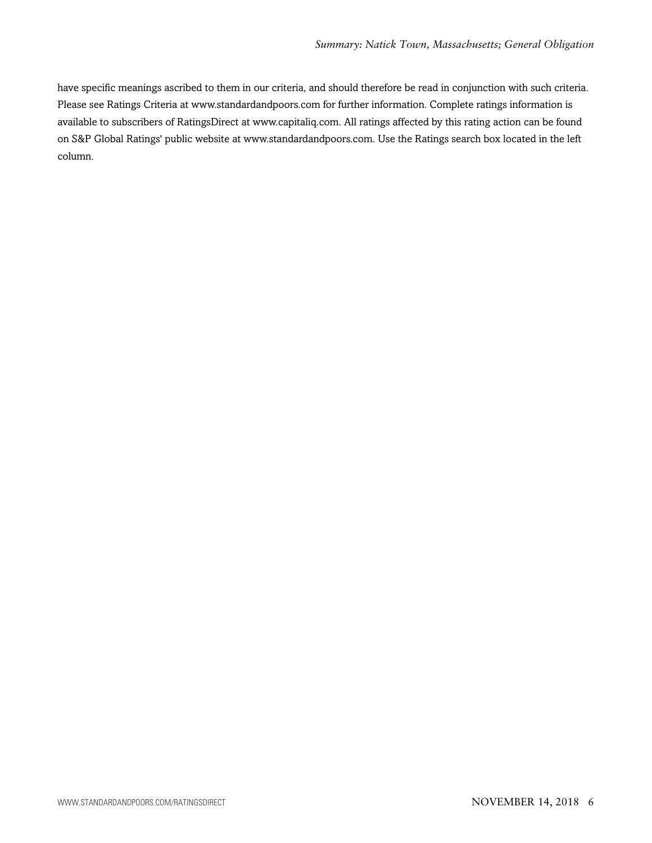have specific meanings ascribed to them in our criteria, and should therefore be read in conjunction with such criteria. Please see Ratings Criteria at www.standardandpoors.com for further information. Complete ratings information is available to subscribers of RatingsDirect at www.capitaliq.com. All ratings affected by this rating action can be found on S&P Global Ratings' public website at www.standardandpoors.com. Use the Ratings search box located in the left column.